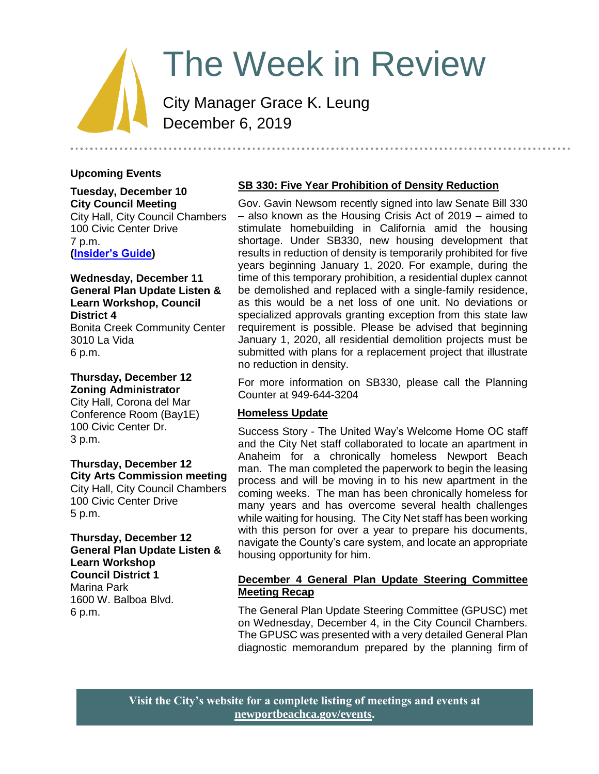# The Week in Review

City Manager Grace K. Leung December 6, 2019

# **Upcoming Events**

**Tuesday, December 10 City Council Meeting** City Hall, City Council Chambers 100 Civic Center Drive 7 p.m. **[\(Insider's Guide\)](https://www.newportbeachca.gov/government/departments/city-manager-s-office/insider-s-guide)**

#### **Wednesday, December 11 General Plan Update Listen & Learn Workshop, Council District 4** Bonita Creek Community Center 3010 La Vida 6 p.m.

**Thursday, December 12 Zoning Administrator**

City Hall, Corona del Mar Conference Room (Bay1E) 100 Civic Center Dr. 3 p.m.

#### **Thursday, December 12 City Arts Commission meeting**

City Hall, City Council Chambers 100 Civic Center Drive 5 p.m.

## **Thursday, December 12 General Plan Update Listen & Learn Workshop Council District 1** Marina Park 1600 W. Balboa Blvd. 6 p.m.

# **SB 330: Five Year Prohibition of Density Reduction**

Gov. Gavin Newsom recently signed into law Senate Bill 330 – also known as the Housing Crisis Act of 2019 – aimed to stimulate homebuilding in California amid the housing shortage. Under SB330, new housing development that results in reduction of density is temporarily prohibited for five years beginning January 1, 2020. For example, during the time of this temporary prohibition, a residential duplex cannot be demolished and replaced with a single-family residence, as this would be a net loss of one unit. No deviations or specialized approvals granting exception from this state law requirement is possible. Please be advised that beginning January 1, 2020, all residential demolition projects must be submitted with plans for a replacement project that illustrate no reduction in density.

For more information on SB330, please call the Planning Counter at 949-644-3204

# **Homeless Update**

Success Story - The United Way's Welcome Home OC staff and the City Net staff collaborated to locate an apartment in Anaheim for a chronically homeless Newport Beach man. The man completed the paperwork to begin the leasing process and will be moving in to his new apartment in the coming weeks. The man has been chronically homeless for many years and has overcome several health challenges while waiting for housing. The City Net staff has been working with this person for over a year to prepare his documents, navigate the County's care system, and locate an appropriate housing opportunity for him.

## **December 4 General Plan Update Steering Committee Meeting Recap**

The General Plan Update Steering Committee (GPUSC) met on Wednesday, December 4, in the City Council Chambers. The GPUSC was presented with a very detailed General Plan diagnostic memorandum prepared by the planning firm of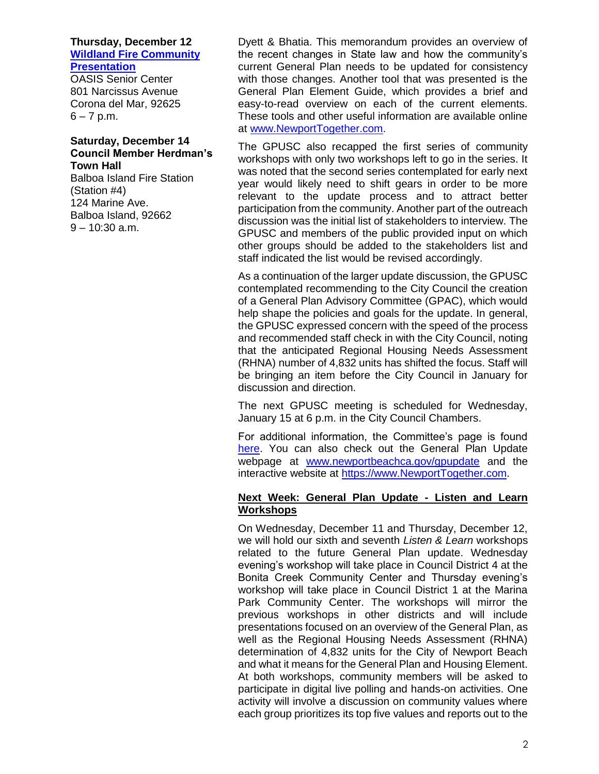# **Thursday, December 12 [Wildland Fire Community](https://www.newportbeachca.gov/Home/Components/Calendar/Event/61180/72)  [Presentation](https://www.newportbeachca.gov/Home/Components/Calendar/Event/61180/72)**

OASIS Senior Center 801 Narcissus Avenue Corona del Mar, 92625  $6 - 7$  p.m.

#### **Saturday, December 14 Council Member Herdman's Town Hall**

Balboa Island Fire Station (Station #4) 124 Marine Ave. Balboa Island, 92662 9 – 10:30 a.m.

Dyett & Bhatia. This memorandum provides an overview of the recent changes in State law and how the community's current General Plan needs to be updated for consistency with those changes. Another tool that was presented is the General Plan Element Guide, which provides a brief and easy-to-read overview on each of the current elements. These tools and other useful information are available online at [www.NewportTogether.com.](http://www.newporttogether.com/)

The GPUSC also recapped the first series of community workshops with only two workshops left to go in the series. It was noted that the second series contemplated for early next year would likely need to shift gears in order to be more relevant to the update process and to attract better participation from the community. Another part of the outreach discussion was the initial list of stakeholders to interview. The GPUSC and members of the public provided input on which other groups should be added to the stakeholders list and staff indicated the list would be revised accordingly.

As a continuation of the larger update discussion, the GPUSC contemplated recommending to the City Council the creation of a General Plan Advisory Committee (GPAC), which would help shape the policies and goals for the update. In general, the GPUSC expressed concern with the speed of the process and recommended staff check in with the City Council, noting that the anticipated Regional Housing Needs Assessment (RHNA) number of 4,832 units has shifted the focus. Staff will be bringing an item before the City Council in January for discussion and direction.

The next GPUSC meeting is scheduled for Wednesday, January 15 at 6 p.m. in the City Council Chambers.

For additional information, the Committee's page is found [here.](https://www.newportbeachca.gov/government/departments/community-development/planning-division/general-plan-codes-and-regulations/general-plan-update/general-plan-update-steering-committee) You can also check out the General Plan Update webpage at [www.newportbeachca.gov/gpupdate](http://www.newportbeachca.gov/gpupdate) and the interactive website at [https://www.NewportTogether.com.](https://www.newporttogether.com/)

### **Next Week: General Plan Update - Listen and Learn Workshops**

On Wednesday, December 11 and Thursday, December 12, we will hold our sixth and seventh *Listen & Learn* workshops related to the future General Plan update. Wednesday evening's workshop will take place in Council District 4 at the Bonita Creek Community Center and Thursday evening's workshop will take place in Council District 1 at the Marina Park Community Center. The workshops will mirror the previous workshops in other districts and will include presentations focused on an overview of the General Plan, as well as the Regional Housing Needs Assessment (RHNA) determination of 4,832 units for the City of Newport Beach and what it means for the General Plan and Housing Element. At both workshops, community members will be asked to participate in digital live polling and hands-on activities. One activity will involve a discussion on community values where each group prioritizes its top five values and reports out to the